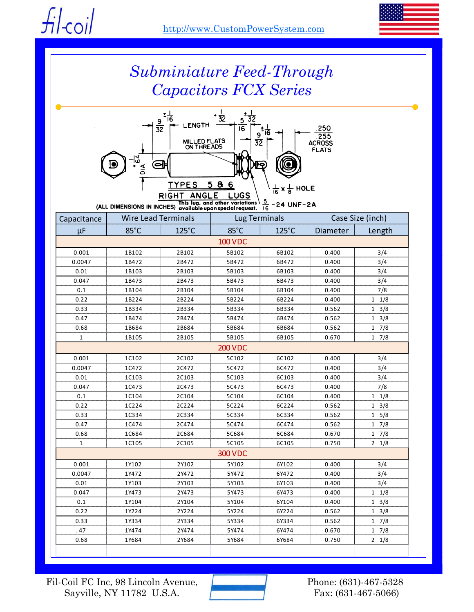fil-coil



# *Subminiature Feed-Through Capacitors FCX Series*



 $\frac{5}{16}$ (ALL DIMENSIONS IN INCHES) available upon special request.  $-24$  UNF $-2A$ 

| Capacitance    | <b>Wire Lead Terminals</b> |       | <b>Lug Terminals</b> |                 | Case Size (inch) |                 |  |  |  |
|----------------|----------------------------|-------|----------------------|-----------------|------------------|-----------------|--|--|--|
| μF             | 85°C                       | 125°C | 85°C                 | $125^{\circ}$ C | Diameter         | Length          |  |  |  |
| <b>100 VDC</b> |                            |       |                      |                 |                  |                 |  |  |  |
| 0.001          | 1B102                      | 2B102 | 5B102                | 6B102           | 0.400            | 3/4             |  |  |  |
| 0.0047         | 1B472                      | 2B472 | 5B472                | 6B472           | 0.400            | 3/4             |  |  |  |
| 0.01           | 1B103                      | 2B103 | 5B103                | 6B103           | 0.400            | 3/4             |  |  |  |
| 0.047          | 1B473                      | 2B473 | 5B473                | 6B473           | 0.400            | 3/4             |  |  |  |
| 0.1            | 1B104                      | 2B104 | 5B104                | 6B104           | 0.400            | 7/8             |  |  |  |
| 0.22           | 1B224                      | 2B224 | 5B224                | 6B224           | 0.400            | $1 \t1/8$       |  |  |  |
| 0.33           | 1B334                      | 2B334 | 5B334                | 6B334           | 0.562            | $1 \t3/8$       |  |  |  |
| 0.47           | 1B474                      | 2B474 | 5B474                | 6B474           | 0.562            | $1 \frac{3}{8}$ |  |  |  |
| 0.68           | 1B684                      | 2B684 | 5B684                | 6B684           | 0.562            | 17/8            |  |  |  |
| $\mathbf{1}$   | 1B105                      | 2B105 | 5B105                | 6B105           | 0.670            | 17/8            |  |  |  |
| <b>200 VDC</b> |                            |       |                      |                 |                  |                 |  |  |  |
| 0.001          | 1C102                      | 2C102 | 5C102                | 6C102           | 0.400            | 3/4             |  |  |  |
| 0.0047         | 1C472                      | 2C472 | 5C472                | 6C472           | 0.400            | 3/4             |  |  |  |
| 0.01           | 1C103                      | 2C103 | 5C103                | 6C103           | 0.400            | 3/4             |  |  |  |
| 0.047          | 1C473                      | 2C473 | 5C473                | 6C473           | 0.400            | 7/8             |  |  |  |
| 0.1            | 1C104                      | 2C104 | 5C104                | 6C104           | 0.400            | $1 \t1/8$       |  |  |  |
| 0.22           | 1C224                      | 2C224 | 5C224                | 6C224           | 0.562            | $1 \frac{3}{8}$ |  |  |  |
| 0.33           | 1C334                      | 2C334 | 5C334                | 6C334           | 0.562            | 1 5/8           |  |  |  |
| 0.47           | 1C474                      | 2C474 | 5C474                | 6C474           | 0.562            | 17/8            |  |  |  |
| 0.68           | 1C684                      | 2C684 | 5C684                | 6C684           | 0.670            | 17/8            |  |  |  |
| $\mathbf{1}$   | 1C105                      | 2C105 | 5C105                | 6C105           | 0.750            | $2 \t1/8$       |  |  |  |
|                |                            |       | <b>300 VDC</b>       |                 |                  |                 |  |  |  |
| 0.001          | 1Y102                      | 2Y102 | 5Y102                | 6Y102           | 0.400            | 3/4             |  |  |  |
| 0.0047         | 1Y472                      | 2Y472 | 5Y472                | 6Y472           | 0.400            | 3/4             |  |  |  |
| 0.01           | 1Y103                      | 2Y103 | 5Y103                | 6Y103           | 0.400            | 3/4             |  |  |  |
| 0.047          | 1Y473                      | 2Y473 | 5Y473                | 6Y473           | 0.400            | $1 \t1/8$       |  |  |  |
| 0.1            | 1Y104                      | 2Y104 | 5Y104                | 6Y104           | 0.400            | $1 \frac{3}{8}$ |  |  |  |
| 0.22           | 1Y224                      | 2Y224 | 5Y224                | 6Y224           | 0.562            | $1 \t3/8$       |  |  |  |
| 0.33           | 1Y334                      | 2Y334 | 5Y334                | 6Y334           | 0.562            | $1 \t7/8$       |  |  |  |
| .47            | 1Y474                      | 2Y474 | 5Y474                | 6Y474           | 0.670            | $1 \t7/8$       |  |  |  |
| 0.68           | 1Y684                      | 2Y684 | 5Y684                | 6Y684           | 0.750            | $2 \t1/8$       |  |  |  |
|                |                            |       |                      |                 |                  |                 |  |  |  |

Fil-Coil FC Inc, 98 Lincoln Avenue, Sayville, NY 11782 U.S.A.



Phone: (631)-467-5328 Fax: (631-467-5066)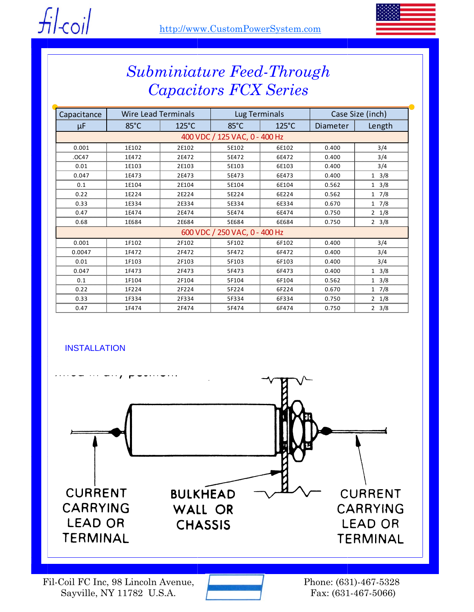



## *Subminiature Feed-Through Capacitors FCX Series*

| Capacitance                   | <b>Wire Lead Terminals</b> |                 | Lug Terminals  |                 | Case Size (inch) |                 |  |  |  |
|-------------------------------|----------------------------|-----------------|----------------|-----------------|------------------|-----------------|--|--|--|
| μF                            | $85^{\circ}$ C             | $125^{\circ}$ C | $85^{\circ}$ C | $125^{\circ}$ C | Diameter         | Length          |  |  |  |
| 400 VDC / 125 VAC, 0 - 400 Hz |                            |                 |                |                 |                  |                 |  |  |  |
| 0.001                         | 1E102                      | 2E102           | 5E102          | 6E102           | 0.400            | 3/4             |  |  |  |
| .OC47                         | 1E472                      | 2E472           | 5E472          | 6E472           | 0.400            | 3/4             |  |  |  |
| 0.01                          | 1E103                      | 2E103           | 5E103          | 6E103           | 0.400            | 3/4             |  |  |  |
| 0.047                         | 1E473                      | 2E473           | 5E473          | 6E473           | 0.400            | $1 \frac{3}{8}$ |  |  |  |
| 0.1                           | 1E104                      | 2E104           | 5E104          | 6E104           | 0.562            | $1 \frac{3}{8}$ |  |  |  |
| 0.22                          | 1E224                      | 2E224           | 5E224          | 6E224           | 0.562            | $1 \t7/8$       |  |  |  |
| 0.33                          | 1E334                      | 2E334           | 5E334          | 6E334           | 0.670            | $1 \frac{7}{8}$ |  |  |  |
| 0.47                          | 1E474                      | 2E474           | 5E474          | 6E474           | 0.750            | $2 \frac{1}{8}$ |  |  |  |
| 0.68                          | 1E684                      | 2E684           | 5E684          | 6E684           | 0.750            | $2 \frac{3}{8}$ |  |  |  |
| 600 VDC / 250 VAC, 0 - 400 Hz |                            |                 |                |                 |                  |                 |  |  |  |
| 0.001                         | 1F102                      | 2F102           | 5F102          | 6F102           | 0.400            | 3/4             |  |  |  |
| 0.0047                        | 1F472                      | 2F472           | 5F472          | 6F472           | 0.400            | 3/4             |  |  |  |
| 0.01                          | 1F103                      | 2F103           | 5F103          | 6F103           | 0.400            | 3/4             |  |  |  |
| 0.047                         | 1F473                      | 2F473           | 5F473          | 6F473           | 0.400            | $1 \frac{3}{8}$ |  |  |  |
| 0.1                           | 1F104                      | 2F104           | 5F104          | 6F104           | 0.562            | $1 \frac{3}{8}$ |  |  |  |
| 0.22                          | 1F224                      | 2F224           | 5F224          | 6F224           | 0.670            | $1 \t7/8$       |  |  |  |
| 0.33                          | 1F334                      | 2F334           | 5F334          | 6F334           | 0.750            | $2 \frac{1}{8}$ |  |  |  |
| 0.47                          | 1F474                      | 2F474           | 5F474          | 6F474           | 0.750            | $2 \frac{3}{8}$ |  |  |  |

### **INSTALLATION**



Fil-Coil FC Inc, 98 Lincoln Avenue, Sayville, NY 11782 U.S.A.



Phone: (631)-467-5328 Fax: (631-467-5066)